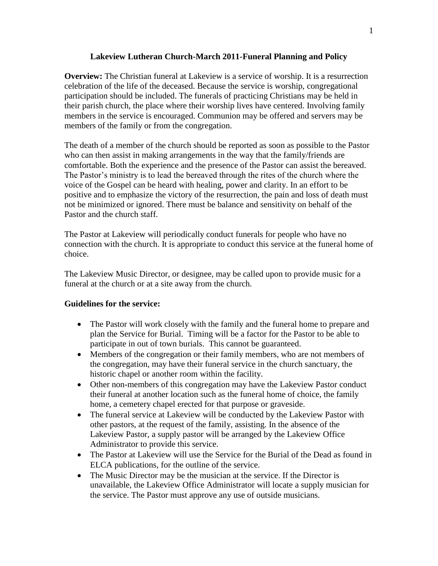### **Lakeview Lutheran Church-March 2011-Funeral Planning and Policy**

**Overview:** The Christian funeral at Lakeview is a service of worship. It is a resurrection celebration of the life of the deceased. Because the service is worship, congregational participation should be included. The funerals of practicing Christians may be held in their parish church, the place where their worship lives have centered. Involving family members in the service is encouraged. Communion may be offered and servers may be members of the family or from the congregation.

The death of a member of the church should be reported as soon as possible to the Pastor who can then assist in making arrangements in the way that the family/friends are comfortable. Both the experience and the presence of the Pastor can assist the bereaved. The Pastor's ministry is to lead the bereaved through the rites of the church where the voice of the Gospel can be heard with healing, power and clarity. In an effort to be positive and to emphasize the victory of the resurrection, the pain and loss of death must not be minimized or ignored. There must be balance and sensitivity on behalf of the Pastor and the church staff.

The Pastor at Lakeview will periodically conduct funerals for people who have no connection with the church. It is appropriate to conduct this service at the funeral home of choice.

The Lakeview Music Director, or designee, may be called upon to provide music for a funeral at the church or at a site away from the church.

# **Guidelines for the service:**

- The Pastor will work closely with the family and the funeral home to prepare and plan the Service for Burial. Timing will be a factor for the Pastor to be able to participate in out of town burials. This cannot be guaranteed.
- Members of the congregation or their family members, who are not members of the congregation, may have their funeral service in the church sanctuary, the historic chapel or another room within the facility.
- Other non-members of this congregation may have the Lakeview Pastor conduct their funeral at another location such as the funeral home of choice, the family home, a cemetery chapel erected for that purpose or graveside.
- The funeral service at Lakeview will be conducted by the Lakeview Pastor with other pastors, at the request of the family, assisting. In the absence of the Lakeview Pastor, a supply pastor will be arranged by the Lakeview Office Administrator to provide this service.
- The Pastor at Lakeview will use the Service for the Burial of the Dead as found in ELCA publications, for the outline of the service.
- The Music Director may be the musician at the service. If the Director is unavailable, the Lakeview Office Administrator will locate a supply musician for the service. The Pastor must approve any use of outside musicians.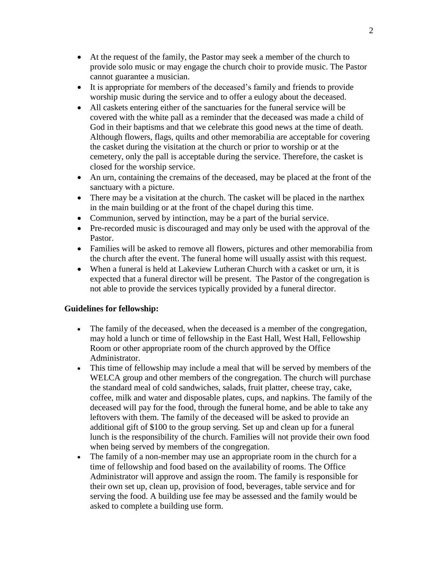- At the request of the family, the Pastor may seek a member of the church to provide solo music or may engage the church choir to provide music. The Pastor cannot guarantee a musician.
- It is appropriate for members of the deceased's family and friends to provide worship music during the service and to offer a eulogy about the deceased.
- All caskets entering either of the sanctuaries for the funeral service will be covered with the white pall as a reminder that the deceased was made a child of God in their baptisms and that we celebrate this good news at the time of death. Although flowers, flags, quilts and other memorabilia are acceptable for covering the casket during the visitation at the church or prior to worship or at the cemetery, only the pall is acceptable during the service. Therefore, the casket is closed for the worship service.
- An urn, containing the cremains of the deceased, may be placed at the front of the sanctuary with a picture.
- There may be a visitation at the church. The casket will be placed in the narthex in the main building or at the front of the chapel during this time.
- Communion, served by intinction, may be a part of the burial service.
- Pre-recorded music is discouraged and may only be used with the approval of the Pastor.
- Families will be asked to remove all flowers, pictures and other memorabilia from the church after the event. The funeral home will usually assist with this request.
- When a funeral is held at Lakeview Lutheran Church with a casket or urn, it is expected that a funeral director will be present. The Pastor of the congregation is not able to provide the services typically provided by a funeral director.

### **Guidelines for fellowship:**

- The family of the deceased, when the deceased is a member of the congregation, may hold a lunch or time of fellowship in the East Hall, West Hall, Fellowship Room or other appropriate room of the church approved by the Office Administrator.
- This time of fellowship may include a meal that will be served by members of the WELCA group and other members of the congregation. The church will purchase the standard meal of cold sandwiches, salads, fruit platter, cheese tray, cake, coffee, milk and water and disposable plates, cups, and napkins. The family of the deceased will pay for the food, through the funeral home, and be able to take any leftovers with them. The family of the deceased will be asked to provide an additional gift of \$100 to the group serving. Set up and clean up for a funeral lunch is the responsibility of the church. Families will not provide their own food when being served by members of the congregation.
- The family of a non-member may use an appropriate room in the church for a time of fellowship and food based on the availability of rooms. The Office Administrator will approve and assign the room. The family is responsible for their own set up, clean up, provision of food, beverages, table service and for serving the food. A building use fee may be assessed and the family would be asked to complete a building use form.